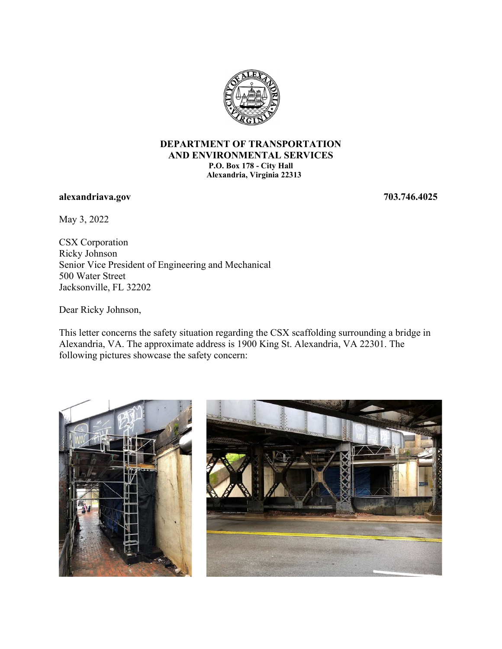

## DEPARTMENT OF TRANSPORTATION AND ENVIRONMENTAL SERVICES P.O. Box 178 - City Hall Alexandria, Virginia 22313

## alexandriava.gov 703.746.4025

May 3, 2022

CSX Corporation Ricky Johnson Senior Vice President of Engineering and Mechanical 500 Water Street Jacksonville, FL 32202

Dear Ricky Johnson,

This letter concerns the safety situation regarding the CSX scaffolding surrounding a bridge in Alexandria, VA. The approximate address is 1900 King St. Alexandria, VA 22301. The following pictures showcase the safety concern: